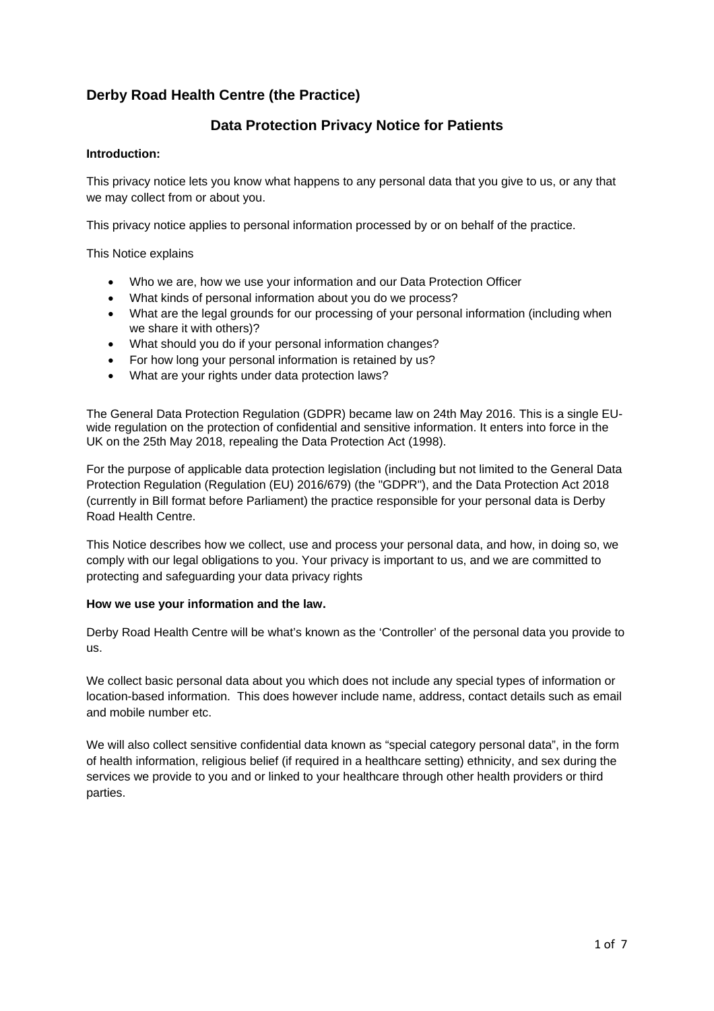# **Derby Road Health Centre (the Practice)**

## **Data Protection Privacy Notice for Patients**

## **Introduction:**

This privacy notice lets you know what happens to any personal data that you give to us, or any that we may collect from or about you.

This privacy notice applies to personal information processed by or on behalf of the practice.

This Notice explains

- Who we are, how we use your information and our Data Protection Officer
- What kinds of personal information about you do we process?
- What are the legal grounds for our processing of your personal information (including when we share it with others)?
- What should you do if your personal information changes?
- For how long your personal information is retained by us?
- What are your rights under data protection laws?

The General Data Protection Regulation (GDPR) became law on 24th May 2016. This is a single EUwide regulation on the protection of confidential and sensitive information. It enters into force in the UK on the 25th May 2018, repealing the Data Protection Act (1998).

For the purpose of applicable data protection legislation (including but not limited to the General Data Protection Regulation (Regulation (EU) 2016/679) (the "GDPR"), and the Data Protection Act 2018 (currently in Bill format before Parliament) the practice responsible for your personal data is Derby Road Health Centre.

This Notice describes how we collect, use and process your personal data, and how, in doing so, we comply with our legal obligations to you. Your privacy is important to us, and we are committed to protecting and safeguarding your data privacy rights

#### **How we use your information and the law.**

Derby Road Health Centre will be what's known as the 'Controller' of the personal data you provide to us.

We collect basic personal data about you which does not include any special types of information or location-based information. This does however include name, address, contact details such as email and mobile number etc.

We will also collect sensitive confidential data known as "special category personal data", in the form of health information, religious belief (if required in a healthcare setting) ethnicity, and sex during the services we provide to you and or linked to your healthcare through other health providers or third parties.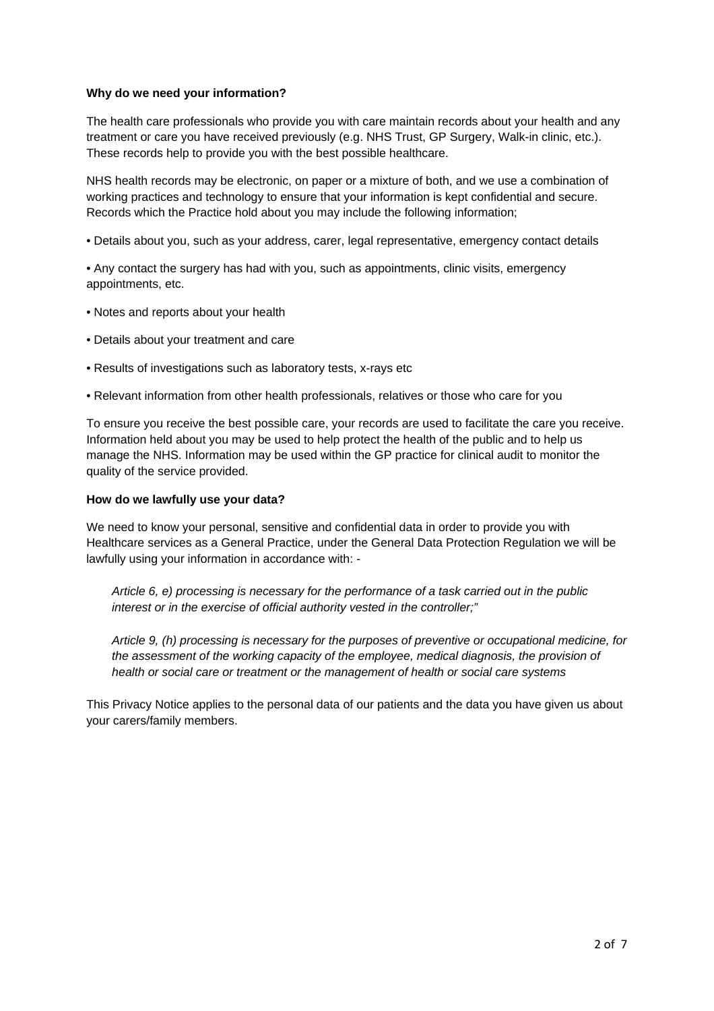## **Why do we need your information?**

The health care professionals who provide you with care maintain records about your health and any treatment or care you have received previously (e.g. NHS Trust, GP Surgery, Walk-in clinic, etc.). These records help to provide you with the best possible healthcare.

NHS health records may be electronic, on paper or a mixture of both, and we use a combination of working practices and technology to ensure that your information is kept confidential and secure. Records which the Practice hold about you may include the following information;

• Details about you, such as your address, carer, legal representative, emergency contact details

• Any contact the surgery has had with you, such as appointments, clinic visits, emergency appointments, etc.

- Notes and reports about your health
- Details about your treatment and care
- Results of investigations such as laboratory tests, x-rays etc
- Relevant information from other health professionals, relatives or those who care for you

To ensure you receive the best possible care, your records are used to facilitate the care you receive. Information held about you may be used to help protect the health of the public and to help us manage the NHS. Information may be used within the GP practice for clinical audit to monitor the quality of the service provided.

#### **How do we lawfully use your data?**

We need to know your personal, sensitive and confidential data in order to provide you with Healthcare services as a General Practice, under the General Data Protection Regulation we will be lawfully using your information in accordance with: -

*Article 6, e) processing is necessary for the performance of a task carried out in the public interest or in the exercise of official authority vested in the controller;"* 

*Article 9, (h) processing is necessary for the purposes of preventive or occupational medicine, for the assessment of the working capacity of the employee, medical diagnosis, the provision of health or social care or treatment or the management of health or social care systems* 

This Privacy Notice applies to the personal data of our patients and the data you have given us about your carers/family members.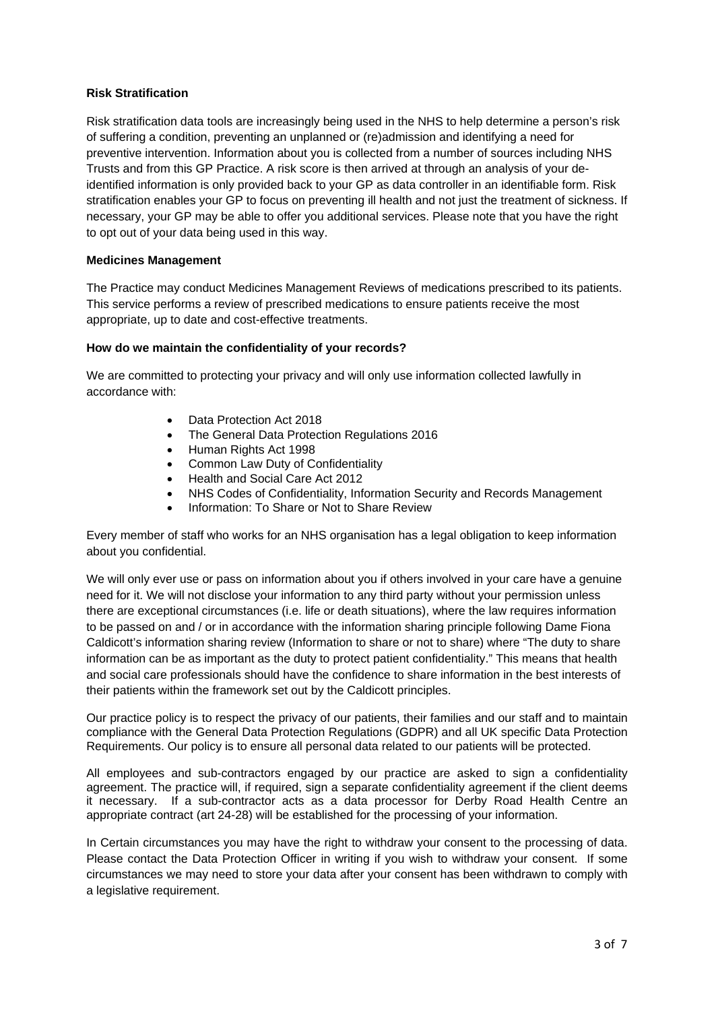## **Risk Stratification**

Risk stratification data tools are increasingly being used in the NHS to help determine a person's risk of suffering a condition, preventing an unplanned or (re)admission and identifying a need for preventive intervention. Information about you is collected from a number of sources including NHS Trusts and from this GP Practice. A risk score is then arrived at through an analysis of your deidentified information is only provided back to your GP as data controller in an identifiable form. Risk stratification enables your GP to focus on preventing ill health and not just the treatment of sickness. If necessary, your GP may be able to offer you additional services. Please note that you have the right to opt out of your data being used in this way.

## **Medicines Management**

The Practice may conduct Medicines Management Reviews of medications prescribed to its patients. This service performs a review of prescribed medications to ensure patients receive the most appropriate, up to date and cost-effective treatments.

#### **How do we maintain the confidentiality of your records?**

We are committed to protecting your privacy and will only use information collected lawfully in accordance with:

- Data Protection Act 2018
- The General Data Protection Regulations 2016
- Human Rights Act 1998
- Common Law Duty of Confidentiality
- Health and Social Care Act 2012
- NHS Codes of Confidentiality, Information Security and Records Management
- Information: To Share or Not to Share Review

Every member of staff who works for an NHS organisation has a legal obligation to keep information about you confidential.

We will only ever use or pass on information about you if others involved in your care have a genuine need for it. We will not disclose your information to any third party without your permission unless there are exceptional circumstances (i.e. life or death situations), where the law requires information to be passed on and / or in accordance with the information sharing principle following Dame Fiona Caldicott's information sharing review (Information to share or not to share) where "The duty to share information can be as important as the duty to protect patient confidentiality." This means that health and social care professionals should have the confidence to share information in the best interests of their patients within the framework set out by the Caldicott principles.

Our practice policy is to respect the privacy of our patients, their families and our staff and to maintain compliance with the General Data Protection Regulations (GDPR) and all UK specific Data Protection Requirements. Our policy is to ensure all personal data related to our patients will be protected.

All employees and sub-contractors engaged by our practice are asked to sign a confidentiality agreement. The practice will, if required, sign a separate confidentiality agreement if the client deems it necessary. If a sub-contractor acts as a data processor for Derby Road Health Centre an appropriate contract (art 24-28) will be established for the processing of your information.

In Certain circumstances you may have the right to withdraw your consent to the processing of data. Please contact the Data Protection Officer in writing if you wish to withdraw your consent. If some circumstances we may need to store your data after your consent has been withdrawn to comply with a legislative requirement.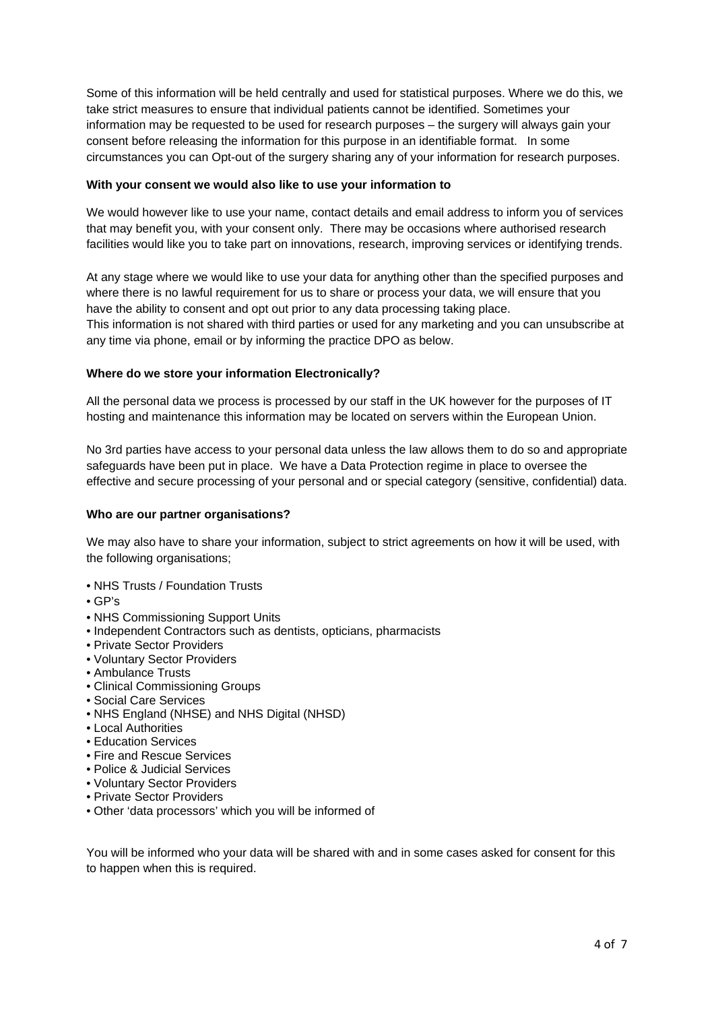Some of this information will be held centrally and used for statistical purposes. Where we do this, we take strict measures to ensure that individual patients cannot be identified. Sometimes your information may be requested to be used for research purposes – the surgery will always gain your consent before releasing the information for this purpose in an identifiable format. In some circumstances you can Opt-out of the surgery sharing any of your information for research purposes.

## **With your consent we would also like to use your information to**

We would however like to use your name, contact details and email address to inform you of services that may benefit you, with your consent only. There may be occasions where authorised research facilities would like you to take part on innovations, research, improving services or identifying trends.

At any stage where we would like to use your data for anything other than the specified purposes and where there is no lawful requirement for us to share or process your data, we will ensure that you have the ability to consent and opt out prior to any data processing taking place. This information is not shared with third parties or used for any marketing and you can unsubscribe at any time via phone, email or by informing the practice DPO as below.

## **Where do we store your information Electronically?**

All the personal data we process is processed by our staff in the UK however for the purposes of IT hosting and maintenance this information may be located on servers within the European Union.

No 3rd parties have access to your personal data unless the law allows them to do so and appropriate safeguards have been put in place. We have a Data Protection regime in place to oversee the effective and secure processing of your personal and or special category (sensitive, confidential) data.

### **Who are our partner organisations?**

We may also have to share your information, subject to strict agreements on how it will be used, with the following organisations;

- NHS Trusts / Foundation Trusts
- GP's
- NHS Commissioning Support Units
- Independent Contractors such as dentists, opticians, pharmacists
- Private Sector Providers
- Voluntary Sector Providers
- Ambulance Trusts
- Clinical Commissioning Groups
- Social Care Services
- NHS England (NHSE) and NHS Digital (NHSD)
- Local Authorities
- Education Services
- Fire and Rescue Services
- Police & Judicial Services
- Voluntary Sector Providers
- Private Sector Providers
- Other 'data processors' which you will be informed of

You will be informed who your data will be shared with and in some cases asked for consent for this to happen when this is required.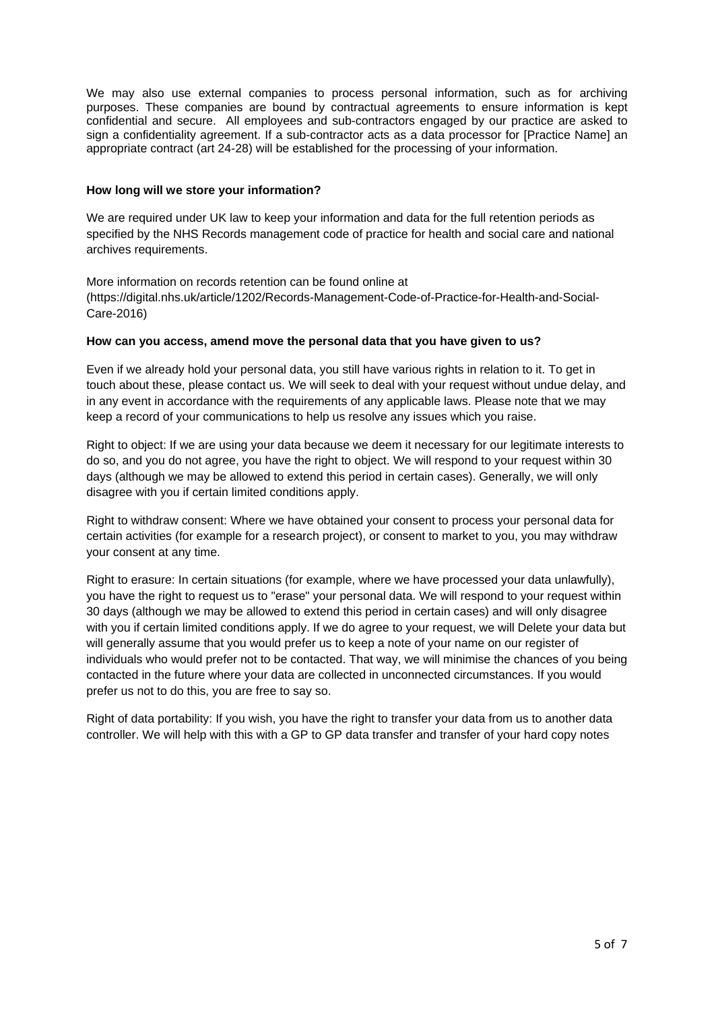We may also use external companies to process personal information, such as for archiving purposes. These companies are bound by contractual agreements to ensure information is kept confidential and secure. All employees and sub-contractors engaged by our practice are asked to sign a confidentiality agreement. If a sub-contractor acts as a data processor for [Practice Name] an appropriate contract (art 24-28) will be established for the processing of your information.

## **How long will we store your information?**

We are required under UK law to keep your information and data for the full retention periods as specified by the NHS Records management code of practice for health and social care and national archives requirements.

More information on records retention can be found online at (https://digital.nhs.uk/article/1202/Records-Management-Code-of-Practice-for-Health-and-Social-Care-2016)

#### **How can you access, amend move the personal data that you have given to us?**

Even if we already hold your personal data, you still have various rights in relation to it. To get in touch about these, please contact us. We will seek to deal with your request without undue delay, and in any event in accordance with the requirements of any applicable laws. Please note that we may keep a record of your communications to help us resolve any issues which you raise.

Right to object: If we are using your data because we deem it necessary for our legitimate interests to do so, and you do not agree, you have the right to object. We will respond to your request within 30 days (although we may be allowed to extend this period in certain cases). Generally, we will only disagree with you if certain limited conditions apply.

Right to withdraw consent: Where we have obtained your consent to process your personal data for certain activities (for example for a research project), or consent to market to you, you may withdraw your consent at any time.

Right to erasure: In certain situations (for example, where we have processed your data unlawfully), you have the right to request us to "erase" your personal data. We will respond to your request within 30 days (although we may be allowed to extend this period in certain cases) and will only disagree with you if certain limited conditions apply. If we do agree to your request, we will Delete your data but will generally assume that you would prefer us to keep a note of your name on our register of individuals who would prefer not to be contacted. That way, we will minimise the chances of you being contacted in the future where your data are collected in unconnected circumstances. If you would prefer us not to do this, you are free to say so.

Right of data portability: If you wish, you have the right to transfer your data from us to another data controller. We will help with this with a GP to GP data transfer and transfer of your hard copy notes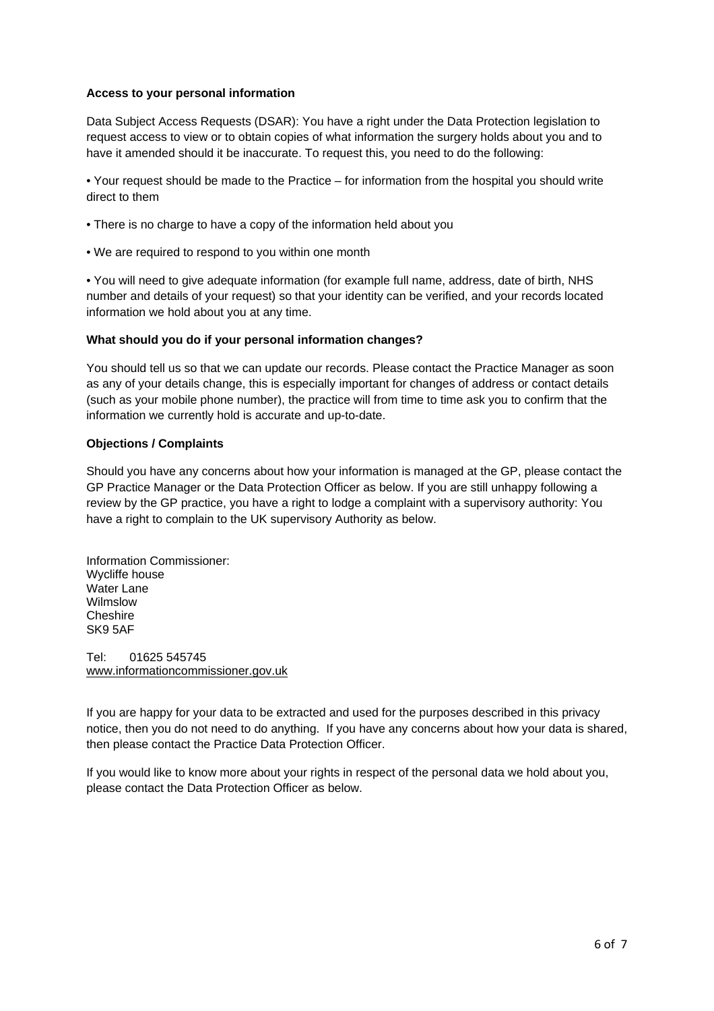## **Access to your personal information**

Data Subject Access Requests (DSAR): You have a right under the Data Protection legislation to request access to view or to obtain copies of what information the surgery holds about you and to have it amended should it be inaccurate. To request this, you need to do the following:

• Your request should be made to the Practice – for information from the hospital you should write direct to them

- There is no charge to have a copy of the information held about you
- We are required to respond to you within one month

• You will need to give adequate information (for example full name, address, date of birth, NHS number and details of your request) so that your identity can be verified, and your records located information we hold about you at any time.

#### **What should you do if your personal information changes?**

You should tell us so that we can update our records. Please contact the Practice Manager as soon as any of your details change, this is especially important for changes of address or contact details (such as your mobile phone number), the practice will from time to time ask you to confirm that the information we currently hold is accurate and up-to-date.

## **Objections / Complaints**

Should you have any concerns about how your information is managed at the GP, please contact the GP Practice Manager or the Data Protection Officer as below. If you are still unhappy following a review by the GP practice, you have a right to lodge a complaint with a supervisory authority: You have a right to complain to the UK supervisory Authority as below.

Information Commissioner: Wycliffe house Water Lane Wilmslow **Cheshire** SK9 5AF

Tel: 01625 545745 www.informationcommissioner.gov.uk

If you are happy for your data to be extracted and used for the purposes described in this privacy notice, then you do not need to do anything. If you have any concerns about how your data is shared, then please contact the Practice Data Protection Officer.

If you would like to know more about your rights in respect of the personal data we hold about you, please contact the Data Protection Officer as below.